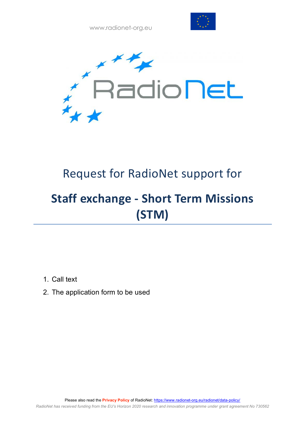



# Request for RadioNet support for

# **Staff exchange - Short Term Missions (STM)**

- 1. Call text
- 2. The application form to be used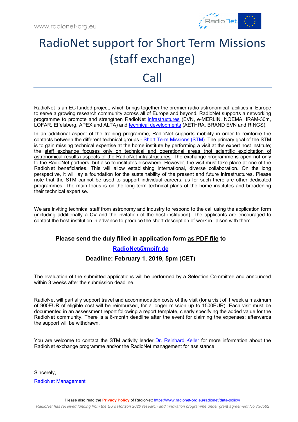

# RadioNet support for Short Term Missions (staff exchange) Call

RadioNet is an EC funded project, which brings together the premier radio astronomical facilities in Europe to serve a growing research community across all of Europe and beyond. RadioNet supports a networking programme to promote and strengthen RadioNet infrastructures (EVN, e-MERLIN, NOEMA, IRAM-30m, LOFAR, Effelsberg, APEX and ALTA) and technical developments (AETHRA, BRAND EVN and RINGS).

In an additional aspect of the training programme, RadioNet supports mobility in order to reinforce the contacts between the different technical groups - Short Term Missions (STM). The primary goal of the STM is to gain missing technical expertise at the home institute by performing a visit at the expert host institute; the staff exchange focuses only on technical and operational areas (not scientific exploitation of astronomical results) aspects of the RadioNet infrastructures. The exchange programme is open not only to the RadioNet partners, but also to institutes elsewhere. However, the visit must take place at one of the RadioNet beneficiaries. This will allow establishing international, diverse collaboration. On the long perspective, it will lay a foundation for the sustainability of the present and future infrastructures. Please note that the STM cannot be used to support individual careers, as for such there are other dedicated programmes. The main focus is on the long-term technical plans of the home institutes and broadening their technical expertise.

We are inviting technical staff from astronomy and industry to respond to the call using the application form (including additionally a CV and the invitation of the host institution). The applicants are encouraged to contact the host institution in advance to produce the short description of work in liaison with them.

### **Please send the duly filled in application form as PDF file to**

### **RadioNet@mpifr.de**

### **Deadline: February 1, 2019, 5pm (CET)**

The evaluation of the submitted applications will be performed by a Selection Committee and announced within 3 weeks after the submission deadline.

RadioNet will partially support travel and accommodation costs of the visit (for a visit of 1 week a maximum of 900EUR of eligible cost will be reimbursed, for a longer mission up to 1500EUR). Each visit must be documented in an assessment report following a report template, clearly specifying the added value for the RadioNet community. There is a 6-month deadline after the event for claiming the expenses; afterwards the support will be withdrawn.

You are welcome to contact the STM activity leader Dr. Reinhard Keller for more information about the RadioNet exchange programme and/or the RadioNet management for assistance.

Sincerely,

RadioNet Management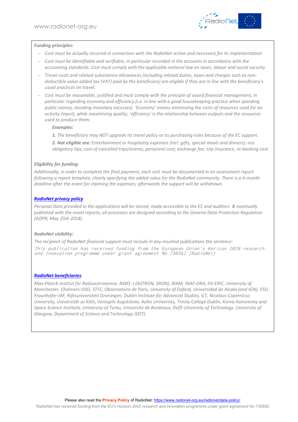

#### *Funding principles:*

- *Cost must be actually incurred in connection with the RadioNet action and necessary for its implementation*
- *Cost must be identifiable and verifiable, in particular recorded in the accounts in accordance with the accounting standards. Cost must comply with the applicable national law on taxes, labour and social security*
- *Travel costs and related subsistence allowances (including related duties, taxes and charges such as nondeductible value added tax (VAT) paid by the beneficiary) are eligible if they are in line with the beneficiary's usual practices on travel.*
- *Cost must be reasonable, justified and must comply with the principle of sound financial management, in particular regarding economy and efficiency (i.e. in line with a good housekeeping practice when spending public money, avoiding monetary excesses). 'Economy' means minimising the costs of resources used for an activity (input), while maximising quality; 'efficiency' is the relationship between outputs and the resources used to produce them.*

#### *Examples:*

*1. The beneficiary may NOT upgrade its travel policy or its purchasing rules because of the EC support.* 

*2. Not eligible are: Entertainment or hospitality expenses (incl. gifts, special meals and dinners); not obligatory tips; cost of cancelled trips/events; personnel cost; exchange fee; trip insurance, re-booking cost*

#### *Eligibility for funding:*

*Additionally, in order to complete the final payment, each visit must be documented in an assessment report following a report template, clearly specifying the added value for the RadioNet community. There is a 6-month deadline after the event for claiming the expenses; afterwards the support will be withdrawn.*

#### *RadioNet privacy policy*

*Personal Data provided in the applications will be stored, made accessible to the EC and auditors & eventually published with the event reports; all processes are designed according to the General Data Protection Regulation (GDPR, May 25th 2018).*

#### *RadioNet visibility:*

*The recipient of RadioNet financial support must include in any resulted publications the sentence:* This publication has received funding from the European Union's Horizon 2020 research and innovation programme under grant agreement No 730562 [RadioNet]

#### *RadioNet beneficiaries:*

*Max-Planck-Institut für Radioastronomie, NWO -I (ASTRON, SRON), IRAM, INAF-ORA, JIV-ERIC, University of Manchester, Chalmers-OSO, STFC, Observatoire de Paris, University of Oxford, Universidad de Alcala (and IGN), ESO, Fraunhofer-IAF, Rijksuniversiteit Groningen, Dublin Institute for Advanced Studies, ILT, Nicolaus Copernicus University, Universität zu Köln, Ventspils Augstskola, Aalto Uniiveristy, Trinity College Dublin, Korea Astronomy and Space Science Institute, University of Turku, Universite de Bordeaux, Delft University of Technology, University of Glasgow, Department of Science and Technology (DST).*

*RadioNet has received funding from the EU's Horizon 2020 research and innovation programme under grant agreement No 730562*